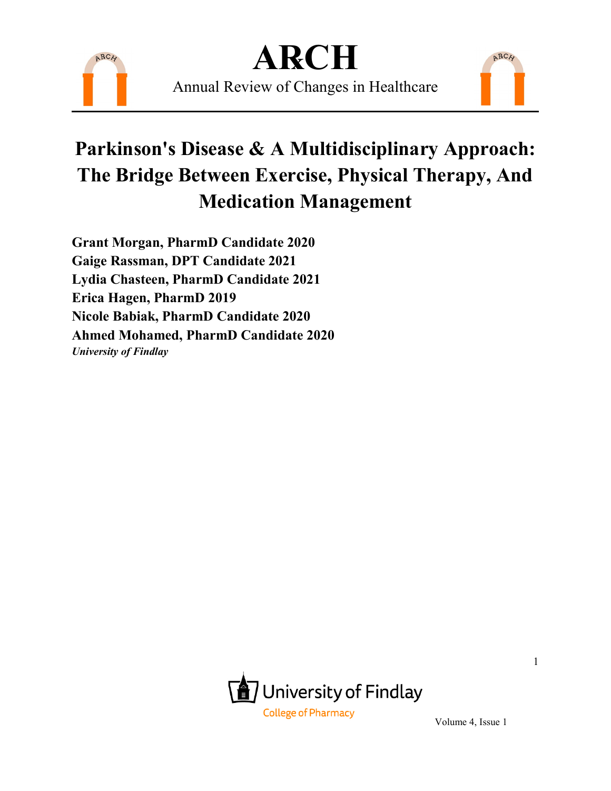

Annual Review of Changes in Healthcare

### **Parkinson's Disease & A Multidisciplinary Approach: The Bridge Between Exercise, Physical Therapy, And Medication Management**

**Grant Morgan, PharmD Candidate 2020 Gaige Rassman, DPT Candidate 2021 Lydia Chasteen, PharmD Candidate 2021 Erica Hagen, PharmD 2019 Nicole Babiak, PharmD Candidate 2020 Ahmed Mohamed, PharmD Candidate 2020** *University of Findlay* 



Volume 4, Issue 1

ARCH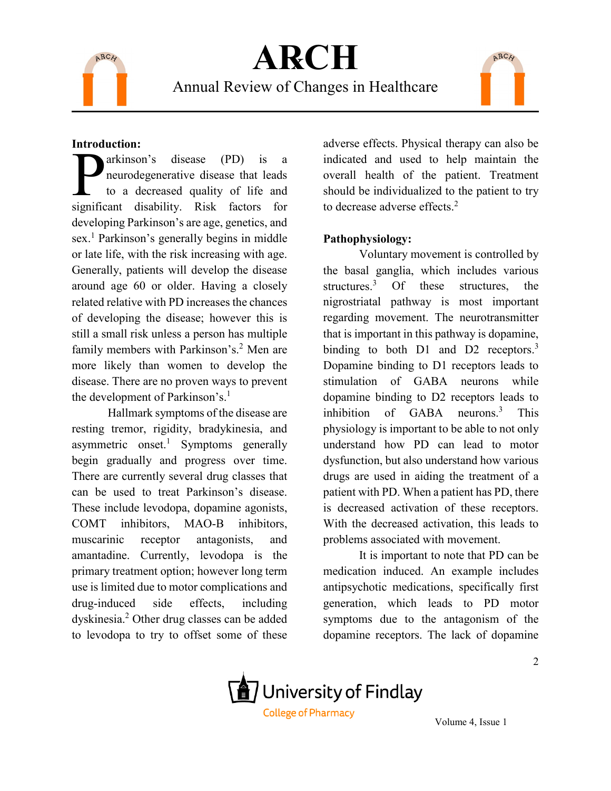

Annual Review of Changes in Healthcare



#### **Introduction:**

arkinson's disease (PD) is a neurodegenerative disease that leads to a decreased quality of life and arkinson's disease (PD) is a neurodegenerative disease that leads<br>to a decreased quality of life and<br>significant disability. Risk factors for developing Parkinson's are age, genetics, and sex.<sup>1</sup> Parkinson's generally begins in middle or late life, with the risk increasing with age. Generally, patients will develop the disease around age 60 or older. Having a closely related relative with PD increases the chances of developing the disease; however this is still a small risk unless a person has multiple family members with Parkinson's.<sup>2</sup> Men are more likely than women to develop the disease. There are no proven ways to prevent the development of Parkinson's.<sup>1</sup>

Hallmark symptoms of the disease are resting tremor, rigidity, bradykinesia, and asymmetric onset.<sup>1</sup> Symptoms generally begin gradually and progress over time. There are currently several drug classes that can be used to treat Parkinson's disease. These include levodopa, dopamine agonists, COMT inhibitors, MAO-B inhibitors, muscarinic receptor antagonists, and amantadine. Currently, levodopa is the primary treatment option; however long term use is limited due to motor complications and drug-induced side effects, including dyskinesia.2 Other drug classes can be added to levodopa to try to offset some of these

adverse effects. Physical therapy can also be indicated and used to help maintain the overall health of the patient. Treatment should be individualized to the patient to try to decrease adverse effects.<sup>2</sup>

#### **Pathophysiology:**

Voluntary movement is controlled by the basal ganglia, which includes various structures.<sup>3</sup> Of these structures, the nigrostriatal pathway is most important regarding movement. The neurotransmitter that is important in this pathway is dopamine, binding to both  $D1$  and  $D2$  receptors.<sup>3</sup> Dopamine binding to D1 receptors leads to stimulation of GABA neurons while dopamine binding to D2 receptors leads to inhibition of GABA neurons.3 This physiology is important to be able to not only understand how PD can lead to motor dysfunction, but also understand how various drugs are used in aiding the treatment of a patient with PD. When a patient has PD, there is decreased activation of these receptors. With the decreased activation, this leads to problems associated with movement.

It is important to note that PD can be medication induced. An example includes antipsychotic medications, specifically first generation, which leads to PD motor symptoms due to the antagonism of the dopamine receptors. The lack of dopamine

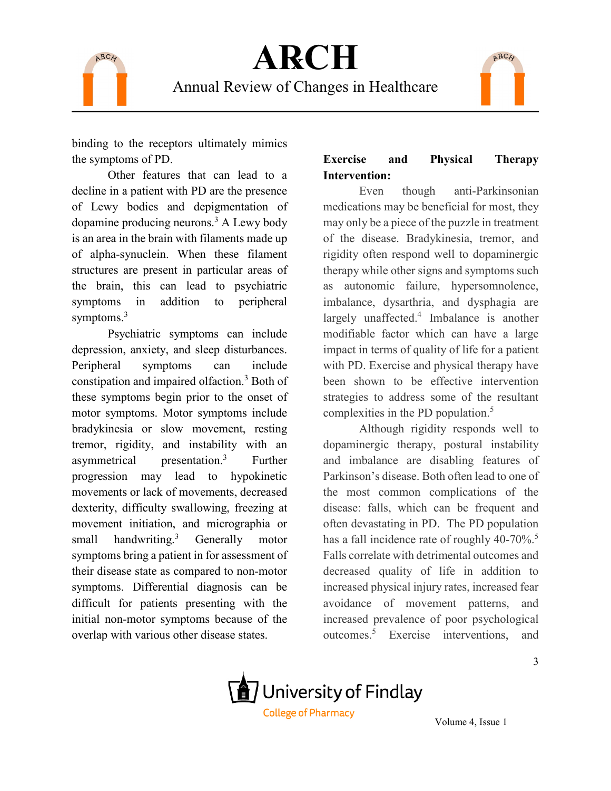

Annual Review of Changes in Healthcare

binding to the receptors ultimately mimics the symptoms of PD.

Other features that can lead to a decline in a patient with PD are the presence of Lewy bodies and depigmentation of dopamine producing neurons.3 A Lewy body is an area in the brain with filaments made up of alpha-synuclein. When these filament structures are present in particular areas of the brain, this can lead to psychiatric symptoms in addition to peripheral symptoms.<sup>3</sup>

Psychiatric symptoms can include depression, anxiety, and sleep disturbances. Peripheral symptoms can include constipation and impaired olfaction.<sup>3</sup> Both of these symptoms begin prior to the onset of motor symptoms. Motor symptoms include bradykinesia or slow movement, resting tremor, rigidity, and instability with an asymmetrical presentation.<sup>3</sup> Further progression may lead to hypokinetic movements or lack of movements, decreased dexterity, difficulty swallowing, freezing at movement initiation, and micrographia or small handwriting. $3$ Generally motor symptoms bring a patient in for assessment of their disease state as compared to non-motor symptoms. Differential diagnosis can be difficult for patients presenting with the initial non-motor symptoms because of the overlap with various other disease states.

### **Exercise and Physical Therapy Intervention:**

ARCH

Even though anti-Parkinsonian medications may be beneficial for most, they may only be a piece of the puzzle in treatment of the disease. Bradykinesia, tremor, and rigidity often respond well to dopaminergic therapy while other signs and symptoms such as autonomic failure, hypersomnolence, imbalance, dysarthria, and dysphagia are largely unaffected. $4$  Imbalance is another modifiable factor which can have a large impact in terms of quality of life for a patient with PD. Exercise and physical therapy have been shown to be effective intervention strategies to address some of the resultant complexities in the PD population.<sup>5</sup>

Although rigidity responds well to dopaminergic therapy, postural instability and imbalance are disabling features of Parkinson's disease. Both often lead to one of the most common complications of the disease: falls, which can be frequent and often devastating in PD. The PD population has a fall incidence rate of roughly  $40-70\%$ <sup>5</sup>. Falls correlate with detrimental outcomes and decreased quality of life in addition to increased physical injury rates, increased fear avoidance of movement patterns, and increased prevalence of poor psychological outcomes.5 Exercise interventions, and

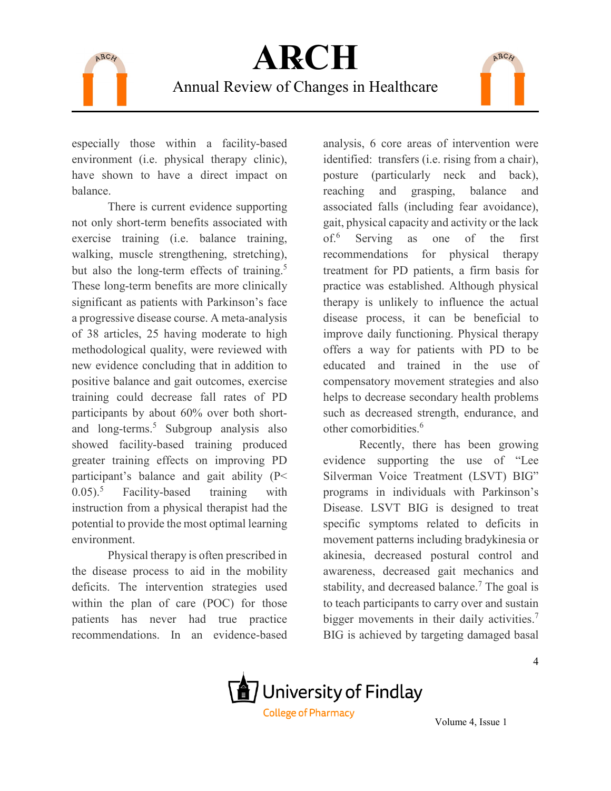

especially those within a facility-based environment (i.e. physical therapy clinic), have shown to have a direct impact on balance.

There is current evidence supporting not only short-term benefits associated with exercise training (i.e. balance training, walking, muscle strengthening, stretching), but also the long-term effects of training.<sup>5</sup> These long-term benefits are more clinically significant as patients with Parkinson's face a progressive disease course. A meta-analysis of 38 articles, 25 having moderate to high methodological quality, were reviewed with new evidence concluding that in addition to positive balance and gait outcomes, exercise training could decrease fall rates of PD participants by about 60% over both shortand long-terms.<sup>5</sup> Subgroup analysis also showed facility-based training produced greater training effects on improving PD participant's balance and gait ability (P<  $(0.05)$ .<sup>5</sup> Facility-based training with instruction from a physical therapist had the potential to provide the most optimal learning environment.

Physical therapy is often prescribed in the disease process to aid in the mobility deficits. The intervention strategies used within the plan of care (POC) for those patients has never had true practice recommendations. In an evidence-based

analysis, 6 core areas of intervention were identified: transfers (i.e. rising from a chair), posture (particularly neck and back), reaching and grasping, balance and associated falls (including fear avoidance), gait, physical capacity and activity or the lack of.<sup>6</sup> Serving as one of the first recommendations for physical therapy treatment for PD patients, a firm basis for practice was established. Although physical therapy is unlikely to influence the actual disease process, it can be beneficial to improve daily functioning. Physical therapy offers a way for patients with PD to be educated and trained in the use of compensatory movement strategies and also helps to decrease secondary health problems such as decreased strength, endurance, and other comorbidities.<sup>6</sup>

ARCH

Recently, there has been growing evidence supporting the use of "Lee Silverman Voice Treatment (LSVT) BIG" programs in individuals with Parkinson's Disease. LSVT BIG is designed to treat specific symptoms related to deficits in movement patterns including bradykinesia or akinesia, decreased postural control and awareness, decreased gait mechanics and stability, and decreased balance.<sup>7</sup> The goal is to teach participants to carry over and sustain bigger movements in their daily activities.<sup>7</sup> BIG is achieved by targeting damaged basal

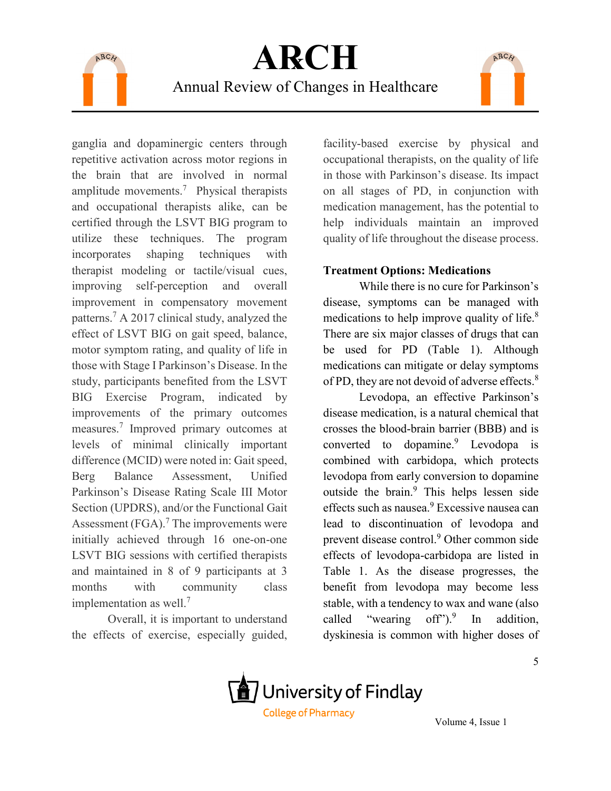

Annual Review of Changes in Healthcare

ganglia and dopaminergic centers through repetitive activation across motor regions in the brain that are involved in normal amplitude movements.<sup>7</sup> Physical therapists and occupational therapists alike, can be certified through the LSVT BIG program to utilize these techniques. The program incorporates shaping techniques with therapist modeling or tactile/visual cues, improving self-perception and overall improvement in compensatory movement patterns.7 A 2017 clinical study, analyzed the effect of LSVT BIG on gait speed, balance, motor symptom rating, and quality of life in those with Stage I Parkinson's Disease. In the study, participants benefited from the LSVT BIG Exercise Program, indicated by improvements of the primary outcomes measures. <sup>7</sup> Improved primary outcomes at levels of minimal clinically important difference (MCID) were noted in: Gait speed, Berg Balance Assessment, Unified Parkinson's Disease Rating Scale III Motor Section (UPDRS), and/or the Functional Gait Assessment  $(FGA)$ .<sup>7</sup> The improvements were initially achieved through 16 one-on-one LSVT BIG sessions with certified therapists and maintained in 8 of 9 participants at 3 months with community class implementation as well.<sup>7</sup>

Overall, it is important to understand the effects of exercise, especially guided,

facility-based exercise by physical and occupational therapists, on the quality of life in those with Parkinson's disease. Its impact on all stages of PD, in conjunction with medication management, has the potential to help individuals maintain an improved quality of life throughout the disease process.

ARCH

### **Treatment Options: Medications**

While there is no cure for Parkinson's disease, symptoms can be managed with medications to help improve quality of life.<sup>8</sup> There are six major classes of drugs that can be used for PD (Table 1). Although medications can mitigate or delay symptoms of PD, they are not devoid of adverse effects.<sup>8</sup>

Levodopa, an effective Parkinson's disease medication, is a natural chemical that crosses the blood-brain barrier (BBB) and is converted to dopamine.<sup>9</sup> Levodopa is combined with carbidopa, which protects levodopa from early conversion to dopamine outside the brain.<sup>9</sup> This helps lessen side effects such as nausea.<sup>9</sup> Excessive nausea can lead to discontinuation of levodopa and prevent disease control.<sup>9</sup> Other common side effects of levodopa-carbidopa are listed in Table 1. As the disease progresses, the benefit from levodopa may become less stable, with a tendency to wax and wane (also called "wearing off" $)^9$  In addition, dyskinesia is common with higher doses of

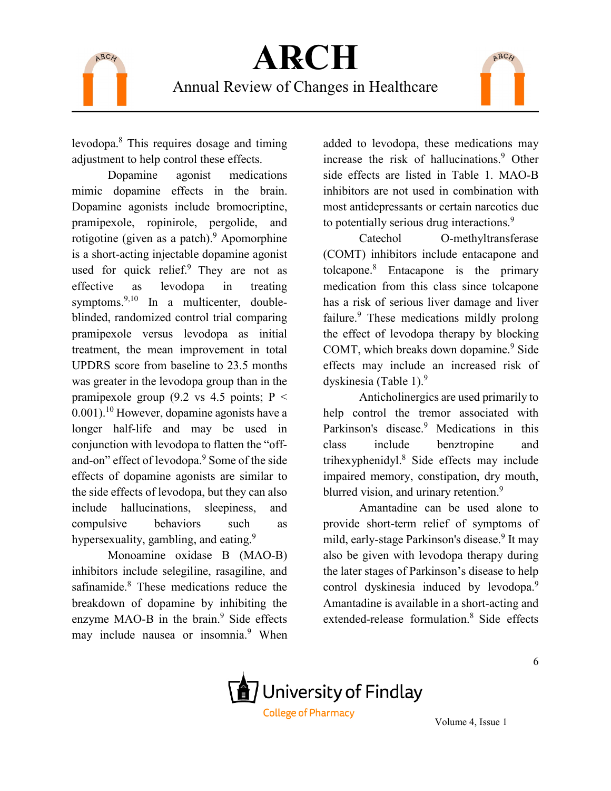

levodopa.8 This requires dosage and timing adjustment to help control these effects.

Dopamine agonist medications mimic dopamine effects in the brain. Dopamine agonists include bromocriptine, pramipexole, ropinirole, pergolide, and rotigotine (given as a patch).<sup>9</sup> Apomorphine is a short-acting injectable dopamine agonist used for quick relief.<sup>9</sup> They are not as effective as levodopa in treating symptoms. $9,10$  In a multicenter, doubleblinded, randomized control trial comparing pramipexole versus levodopa as initial treatment, the mean improvement in total UPDRS score from baseline to 23.5 months was greater in the levodopa group than in the pramipexole group (9.2 vs 4.5 points;  $P <$  $0.001$ <sup>10</sup> However, dopamine agonists have a longer half-life and may be used in conjunction with levodopa to flatten the "offand-on" effect of levodopa.9 Some of the side effects of dopamine agonists are similar to the side effects of levodopa, but they can also include hallucinations, sleepiness, and compulsive behaviors such as hypersexuality, gambling, and eating.<sup>9</sup>

Monoamine oxidase B (MAO-B) inhibitors include selegiline, rasagiline, and safinamide.<sup>8</sup> These medications reduce the breakdown of dopamine by inhibiting the enzyme MAO-B in the brain.<sup>9</sup> Side effects may include nausea or insomnia.<sup>9</sup> When added to levodopa, these medications may increase the risk of hallucinations.<sup>9</sup> Other side effects are listed in Table 1. MAO-B inhibitors are not used in combination with most antidepressants or certain narcotics due to potentially serious drug interactions.<sup>9</sup>

ARCH

Catechol O-methyltransferase (COMT) inhibitors include entacapone and tolcapone.<sup>8</sup> Entacapone is the primary medication from this class since tolcapone has a risk of serious liver damage and liver failure.<sup>9</sup> These medications mildly prolong the effect of levodopa therapy by blocking COMT, which breaks down dopamine.<sup>9</sup> Side effects may include an increased risk of dyskinesia (Table 1).<sup>9</sup>

Anticholinergics are used primarily to help control the tremor associated with Parkinson's disease.<sup>9</sup> Medications in this class include benztropine and trihexyphenidyl.<sup>8</sup> Side effects may include impaired memory, constipation, dry mouth, blurred vision, and urinary retention.<sup>9</sup>

Amantadine can be used alone to provide short-term relief of symptoms of mild, early-stage Parkinson's disease.<sup>9</sup> It may also be given with levodopa therapy during the later stages of Parkinson's disease to help control dyskinesia induced by levodopa.<sup>9</sup> Amantadine is available in a short-acting and extended-release formulation.<sup>8</sup> Side effects

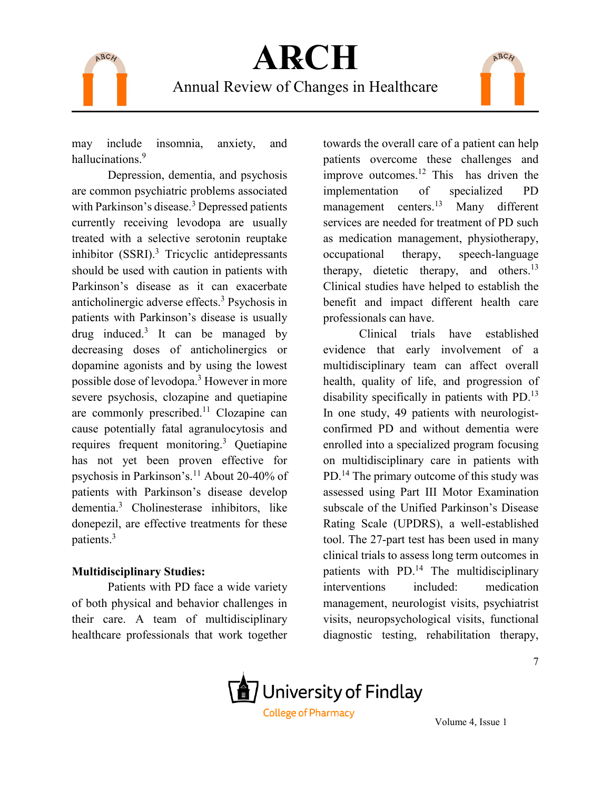

may include insomnia, anxiety, and hallucinations.<sup>9</sup>

Depression, dementia, and psychosis are common psychiatric problems associated with Parkinson's disease.<sup>3</sup> Depressed patients currently receiving levodopa are usually treated with a selective serotonin reuptake inhibitor  $(SSRI)$ .<sup>3</sup> Tricyclic antidepressants should be used with caution in patients with Parkinson's disease as it can exacerbate anticholinergic adverse effects.<sup>3</sup> Psychosis in patients with Parkinson's disease is usually drug induced.<sup>3</sup> It can be managed by decreasing doses of anticholinergics or dopamine agonists and by using the lowest possible dose of levodopa.3 However in more severe psychosis, clozapine and quetiapine are commonly prescribed.11 Clozapine can cause potentially fatal agranulocytosis and requires frequent monitoring.<sup>3</sup> Quetiapine has not yet been proven effective for psychosis in Parkinson's.<sup>11</sup> About 20-40% of patients with Parkinson's disease develop dementia.3 Cholinesterase inhibitors, like donepezil, are effective treatments for these patients.3

#### **Multidisciplinary Studies:**

Patients with PD face a wide variety of both physical and behavior challenges in their care. A team of multidisciplinary healthcare professionals that work together

towards the overall care of a patient can help patients overcome these challenges and improve outcomes.<sup>12</sup> This has driven the implementation of specialized PD management centers.13 Many different services are needed for treatment of PD such as medication management, physiotherapy, occupational therapy, speech-language therapy, dietetic therapy, and others.<sup>13</sup> Clinical studies have helped to establish the benefit and impact different health care professionals can have.

ARCH

Clinical trials have established evidence that early involvement of a multidisciplinary team can affect overall health, quality of life, and progression of disability specifically in patients with PD.<sup>13</sup> In one study, 49 patients with neurologistconfirmed PD and without dementia were enrolled into a specialized program focusing on multidisciplinary care in patients with PD.14 The primary outcome of this study was assessed using Part III Motor Examination subscale of the Unified Parkinson's Disease Rating Scale (UPDRS), a well-established tool. The 27-part test has been used in many clinical trials to assess long term outcomes in patients with PD.<sup>14</sup> The multidisciplinary interventions included: medication management, neurologist visits, psychiatrist visits, neuropsychological visits, functional diagnostic testing, rehabilitation therapy,

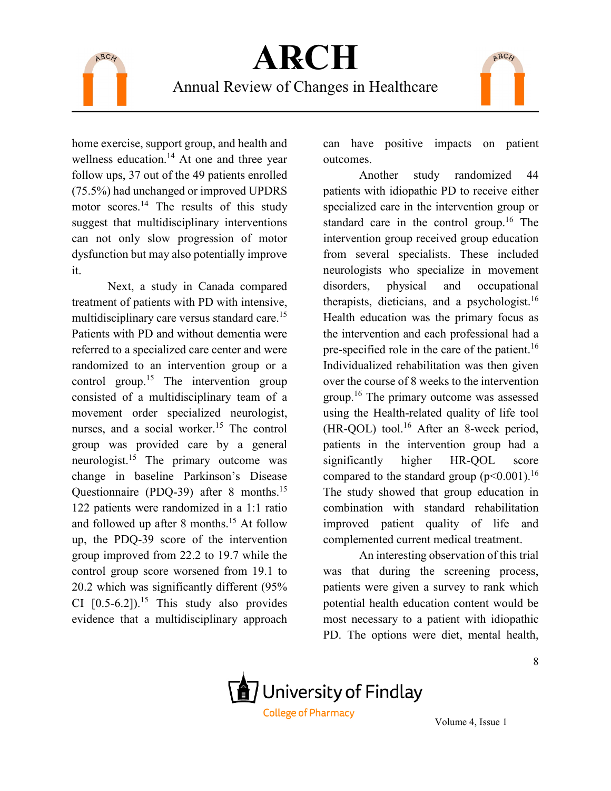



home exercise, support group, and health and wellness education.<sup>14</sup> At one and three year follow ups, 37 out of the 49 patients enrolled (75.5%) had unchanged or improved UPDRS motor scores.14 The results of this study suggest that multidisciplinary interventions can not only slow progression of motor dysfunction but may also potentially improve it.

Next, a study in Canada compared treatment of patients with PD with intensive, multidisciplinary care versus standard care.15 Patients with PD and without dementia were referred to a specialized care center and were randomized to an intervention group or a control group.<sup>15</sup> The intervention group consisted of a multidisciplinary team of a movement order specialized neurologist, nurses, and a social worker.<sup>15</sup> The control group was provided care by a general neurologist.<sup>15</sup> The primary outcome was change in baseline Parkinson's Disease Questionnaire (PDQ-39) after 8 months.15 122 patients were randomized in a 1:1 ratio and followed up after 8 months.<sup>15</sup> At follow up, the PDQ-39 score of the intervention group improved from 22.2 to 19.7 while the control group score worsened from 19.1 to 20.2 which was significantly different (95% CI  $[0.5-6.2]$ .<sup>15</sup> This study also provides evidence that a multidisciplinary approach

can have positive impacts on patient outcomes.

Another study randomized 44 patients with idiopathic PD to receive either specialized care in the intervention group or standard care in the control group.<sup>16</sup> The intervention group received group education from several specialists. These included neurologists who specialize in movement disorders, physical and occupational therapists, dieticians, and a psychologist.<sup>16</sup> Health education was the primary focus as the intervention and each professional had a pre-specified role in the care of the patient.<sup>16</sup> Individualized rehabilitation was then given over the course of 8 weeks to the intervention group.16 The primary outcome was assessed using the Health-related quality of life tool (HR-QOL) tool.16 After an 8-week period, patients in the intervention group had a significantly higher HR-QOL score compared to the standard group  $(p<0.001)$ .<sup>16</sup> The study showed that group education in combination with standard rehabilitation improved patient quality of life and complemented current medical treatment.

An interesting observation of this trial was that during the screening process, patients were given a survey to rank which potential health education content would be most necessary to a patient with idiopathic PD. The options were diet, mental health,

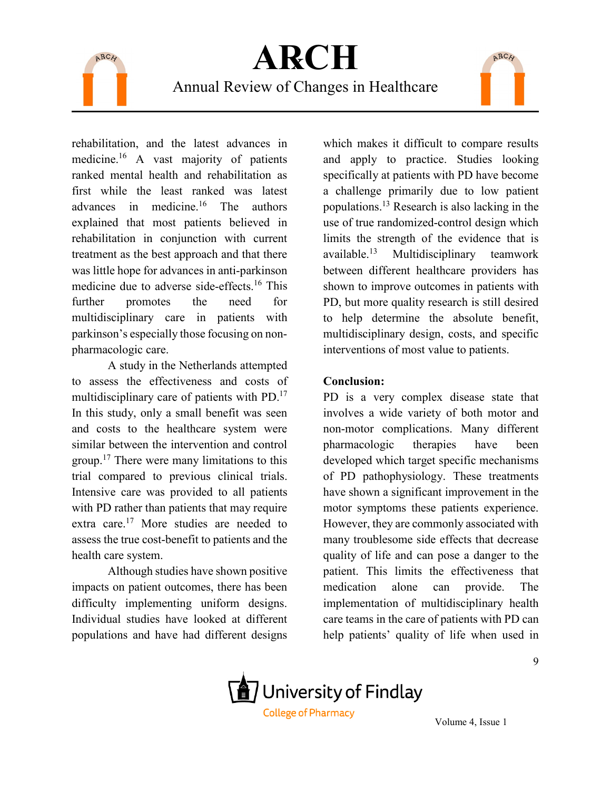

rehabilitation, and the latest advances in medicine.<sup>16</sup> A vast majority of patients ranked mental health and rehabilitation as first while the least ranked was latest advances in medicine.16 The authors explained that most patients believed in rehabilitation in conjunction with current treatment as the best approach and that there was little hope for advances in anti-parkinson medicine due to adverse side-effects.16 This further promotes the need for multidisciplinary care in patients with parkinson's especially those focusing on nonpharmacologic care.

A study in the Netherlands attempted to assess the effectiveness and costs of multidisciplinary care of patients with PD.17 In this study, only a small benefit was seen and costs to the healthcare system were similar between the intervention and control group.<sup>17</sup> There were many limitations to this trial compared to previous clinical trials. Intensive care was provided to all patients with PD rather than patients that may require extra care.<sup>17</sup> More studies are needed to assess the true cost-benefit to patients and the health care system.

Although studies have shown positive impacts on patient outcomes, there has been difficulty implementing uniform designs. Individual studies have looked at different populations and have had different designs

which makes it difficult to compare results and apply to practice. Studies looking specifically at patients with PD have become a challenge primarily due to low patient populations.13 Research is also lacking in the use of true randomized-control design which limits the strength of the evidence that is available.<sup>13</sup> Multidisciplinary teamwork between different healthcare providers has shown to improve outcomes in patients with PD, but more quality research is still desired to help determine the absolute benefit, multidisciplinary design, costs, and specific interventions of most value to patients.

ARCH

#### **Conclusion:**

PD is a very complex disease state that involves a wide variety of both motor and non-motor complications. Many different pharmacologic therapies have been developed which target specific mechanisms of PD pathophysiology. These treatments have shown a significant improvement in the motor symptoms these patients experience. However, they are commonly associated with many troublesome side effects that decrease quality of life and can pose a danger to the patient. This limits the effectiveness that medication alone can provide. The implementation of multidisciplinary health care teams in the care of patients with PD can help patients' quality of life when used in

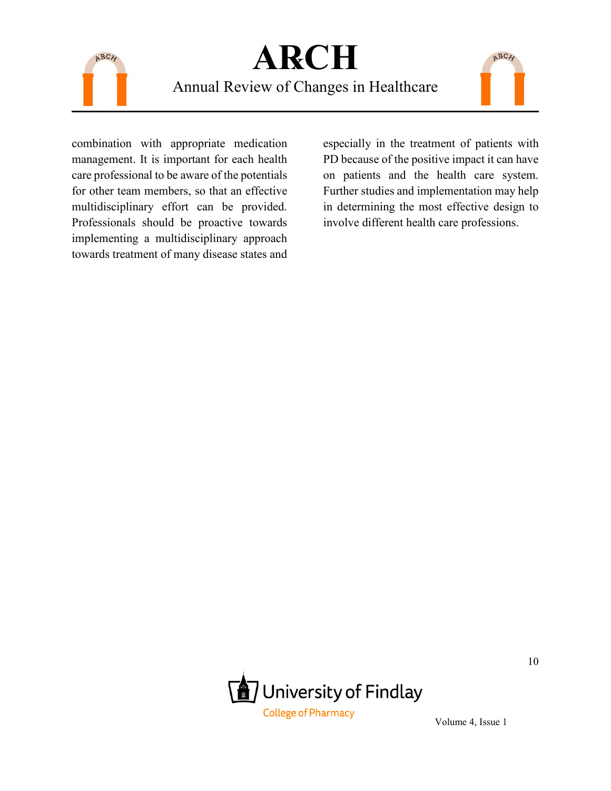

Annual Review of Changes in Healthcare

combination with appropriate medication management. It is important for each health care professional to be aware of the potentials for other team members, so that an effective multidisciplinary effort can be provided. Professionals should be proactive towards implementing a multidisciplinary approach towards treatment of many disease states and

especially in the treatment of patients with PD because of the positive impact it can have on patients and the health care system. Further studies and implementation may help in determining the most effective design to involve different health care professions.

ARCH

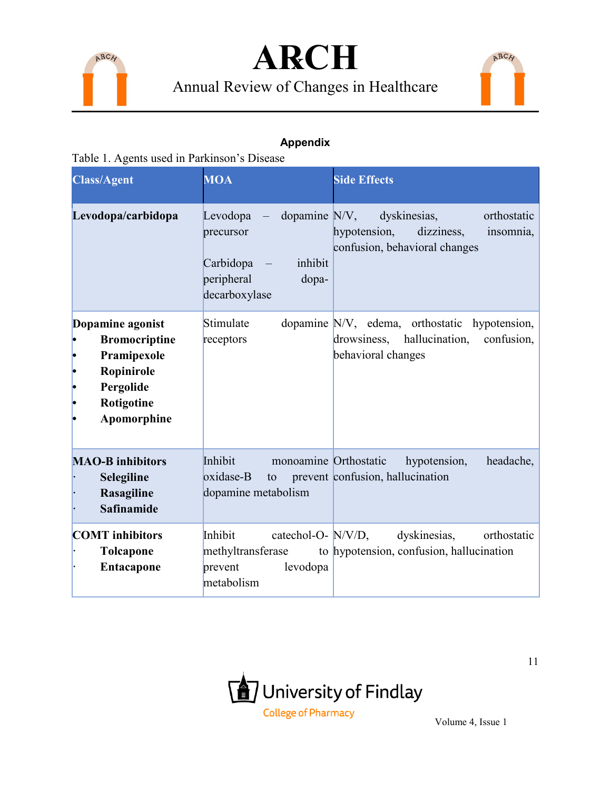





### **Appendix**

Table 1. Agents used in Parkinson's Disease

| <b>Class/Agent</b>                                                                                                                                          | <b>MOA</b>                                                                              | <b>Side Effects</b>                                                                                             |  |  |
|-------------------------------------------------------------------------------------------------------------------------------------------------------------|-----------------------------------------------------------------------------------------|-----------------------------------------------------------------------------------------------------------------|--|--|
| dopamine $N/V$ ,<br>Levodopa/carbidopa<br>Levodopa<br>$\overline{\phantom{0}}$<br>precursor<br>Carbidopa<br>inhibit<br>peripheral<br>dopa-<br>decarboxylase |                                                                                         | dyskinesias,<br>orthostatic<br>hypotension,<br>dizziness,<br>insomnia,<br>confusion, behavioral changes         |  |  |
| Dopamine agonist<br><b>Bromocriptine</b><br>Pramipexole<br>Ropinirole<br>Pergolide<br>Rotigotine<br>Apomorphine                                             | Stimulate<br>receptors                                                                  | dopamine N/V, edema, orthostatic hypotension,<br>drowsiness, hallucination,<br>confusion,<br>behavioral changes |  |  |
| <b>MAO-B</b> inhibitors<br>Selegiline<br>Rasagiline<br><b>Safinamide</b>                                                                                    | Inhibit<br>monoamine Orthostatic<br>oxidase-B<br>to<br>dopamine metabolism              | headache,<br>hypotension,<br>prevent confusion, hallucination                                                   |  |  |
| <b>COMT</b> inhibitors<br><b>Tolcapone</b><br>Entacapone                                                                                                    | Inhibit<br>catechol-O- N/V/D,<br>methyltransferase<br>levodopa<br>prevent<br>metabolism | dyskinesias,<br>orthostatic<br>to hypotension, confusion, hallucination                                         |  |  |

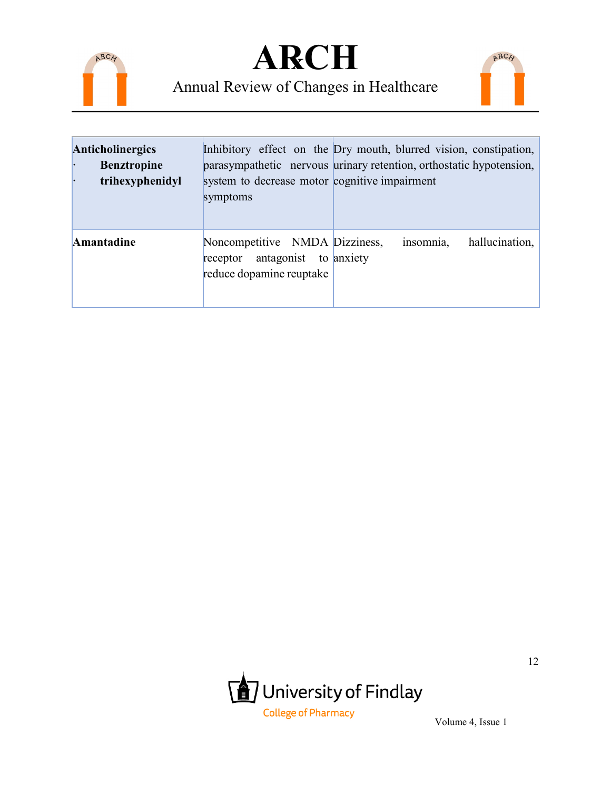





| <b>Anticholinergics</b><br><b>Benztropine</b><br>trihexyphenidyl<br>Ŀ | Inhibitory effect on the Dry mouth, blurred vision, constipation,<br>parasympathetic nervous urinary retention, orthostatic hypotension,<br>system to decrease motor cognitive impairment<br>symptoms |  |           |                |
|-----------------------------------------------------------------------|-------------------------------------------------------------------------------------------------------------------------------------------------------------------------------------------------------|--|-----------|----------------|
| Amantadine                                                            | Noncompetitive NMDA Dizziness,<br>receptor antagonist to anxiety<br>reduce dopamine reuptake                                                                                                          |  | insomnia, | hallucination, |